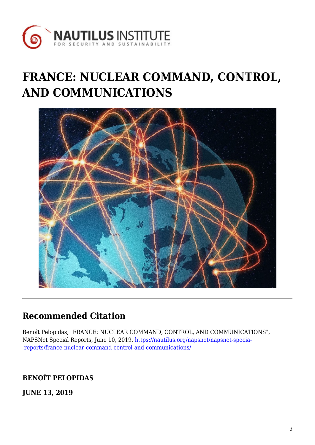

# **FRANCE: NUCLEAR COMMAND, CONTROL, AND COMMUNICATIONS**



# **Recommended Citation**

Benoît Pelopidas, "FRANCE: NUCLEAR COMMAND, CONTROL, AND COMMUNICATIONS", NAPSNet Special Reports, June 10, 2019, [https://nautilus.org/napsnet/napsnet-specia-](https://nautilus.org/napsnet/napsnet-special-reports/france-nuclear-command-control-and-communications/) [-reports/france-nuclear-command-control-and-communications/](https://nautilus.org/napsnet/napsnet-special-reports/france-nuclear-command-control-and-communications/)

# **BENOÎT PELOPIDAS**

**JUNE 13, 2019**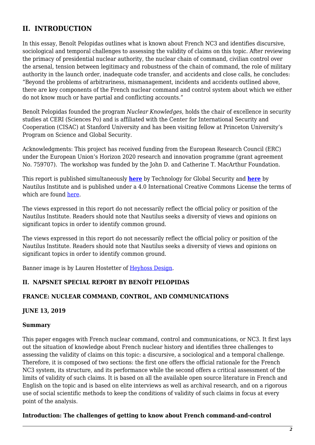# **II. INTRODUCTION**

In this essay, Benoît Pelopidas outlines what is known about French NC3 and identifies discursive, sociological and temporal challenges to assessing the validity of claims on this topic. After reviewing the primacy of presidential nuclear authority, the nuclear chain of command, civilian control over the arsenal, tension between legitimacy and robustness of the chain of command, the role of military authority in the launch order, inadequate code transfer, and accidents and close calls, he concludes: "Beyond the problems of arbitrariness, mismanagement, incidents and accidents outlined above, there are key components of the French nuclear command and control system about which we either do not know much or have partial and conflicting accounts."

Benoît Pelopidas founded the program *Nuclear Knowledges*, holds the chair of excellence in security studies at CERI (Sciences Po) and is affiliated with the Center for International Security and Cooperation (CISAC) at Stanford University and has been visiting fellow at Princeton University's Program on Science and Global Security.

Acknowledgments: This project has received funding from the European Research Council (ERC) under the European Union's Horizon 2020 research and innovation programme (grant agreement No. 759707). The workshop was funded by the John D. and Catherine T. MacArthur Foundation.

This report is published simultaneously **[here](https://www.tech4gs.org/nc3-systems-and-strategic-stability-a-global-overview.html)** by Technology for Global Security and **[here](https://nautilus.org/?p=97875)** by Nautilus Institute and is published under a 4.0 International Creative Commons License the terms of which are found [here.](https://creativecommons.org/licenses/by-nc-sa/4.0/)

The views expressed in this report do not necessarily reflect the official policy or position of the Nautilus Institute. Readers should note that Nautilus seeks a diversity of views and opinions on significant topics in order to identify common ground.

The views expressed in this report do not necessarily reflect the official policy or position of the Nautilus Institute. Readers should note that Nautilus seeks a diversity of views and opinions on significant topics in order to identify common ground.

Banner image is by Lauren Hostetter of [Heyhoss Design.](http://heyhoss.design/)

#### **II. NAPSNET SPECIAL REPORT BY BENOÎT PELOPIDAS**

# **FRANCE: NUCLEAR COMMAND, CONTROL, AND COMMUNICATIONS**

#### **JUNE 13, 2019**

#### **Summary**

This paper engages with French nuclear command, control and communications, or NC3. It first lays out the situation of knowledge about French nuclear history and identifies three challenges to assessing the validity of claims on this topic: a discursive, a sociological and a temporal challenge. Therefore, it is composed of two sections: the first one offers the official rationale for the French NC3 system, its structure, and its performance while the second offers a critical assessment of the limits of validity of such claims. It is based on all the available open source literature in French and English on the topic and is based on elite interviews as well as archival research, and on a rigorous use of social scientific methods to keep the conditions of validity of such claims in focus at every point of the analysis.

#### <span id="page-1-0"></span>**Introduction: The challenges of getting to know about French command-and-control**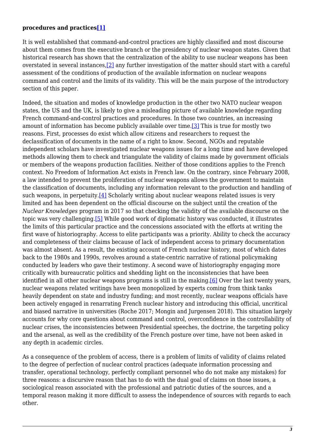#### **procedures and practices[\[1\]](#page-12-0)**

<span id="page-2-0"></span>It is well established that command-and-control practices are highly classified and most discourse about them comes from the executive branch or the presidency of nuclear weapon states. Given that historical research has shown that the centralization of the ability to use nuclear weapons has been overstated in several instances[,\[2\]](#page-12-1) any further investigation of the matter should start with a careful assessment of the conditions of production of the available information on nuclear weapons command and control and the limits of its validity. This will be the main purpose of the introductory section of this paper.

<span id="page-2-3"></span><span id="page-2-2"></span><span id="page-2-1"></span>Indeed, the situation and modes of knowledge production in the other two NATO nuclear weapon states, the US and the UK, is likely to give a misleading picture of available knowledge regarding French command-and-control practices and procedures. In those two countries, an increasing amount of information has become publicly available over time.[\[3\]](#page-12-2) This is true for mostly two reasons. First, processes do exist which allow citizens and researchers to request the declassification of documents in the name of a right to know. Second, NGOs and reputable independent scholars have investigated nuclear weapons issues for a long time and have developed methods allowing them to check and triangulate the validity of claims made by government officials or members of the weapons production facilities. Neither of those conditions applies to the French context. No Freedom of Information Act exists in French law. On the contrary, since February 2008, a law intended to prevent the proliferation of nuclear weapons allows the government to maintain the classification of documents, including any information relevant to the production and handling of such weapons, in perpetuity.<sup>[4]</sup> Scholarly writing about nuclear weapons related issues is very limited and has been dependent on the official discourse on the subject until the creation of the *Nuclear Knowledges* program in 2017 so that checking the validity of the available discourse on the topic was very challenging.[\[5\]](#page-12-4) While good work of diplomatic history was conducted, it illustrates the limits of this particular practice and the concessions associated with the efforts at writing the first wave of historiography. Access to elite participants was a priority. Ability to check the accuracy and completeness of their claims because of lack of independent access to primary documentation was almost absent. As a result, the existing account of French nuclear history, most of which dates back to the 1980s and 1990s, revolves around a state-centric narrative of rational policymaking conducted by leaders who gave their testimony. A second wave of historiography engaging more critically with bureaucratic politics and shedding light on the inconsistencies that have been identified in all other nuclear weapons programs is still in the making.<sup>[6]</sup> Over the last twenty years, nuclear weapons related writings have been monopolized by experts coming from think tanks heavily dependent on state and industry funding; and most recently, nuclear weapons officials have been actively engaged in renarrating French nuclear history and introducing this official, uncritical and biased narrative in universities (Roche 2017; Mongin and Jurgensen 2018). This situation largely accounts for why core questions about command and control, overconfidence in the controllability of nuclear crises, the inconsistencies between Presidential speeches, the doctrine, the targeting policy and the arsenal, as well as the credibility of the French posture over time, have not been asked in any depth in academic circles.

<span id="page-2-4"></span>As a consequence of the problem of access, there is a problem of limits of validity of claims related to the degree of perfection of nuclear control practices (adequate information processing and transfer, operational technology, perfectly compliant personnel who do not make any mistakes) for three reasons: a discursive reason that has to do with the dual goal of claims on those issues, a sociological reason associated with the professional and patriotic duties of the sources, and a temporal reason making it more difficult to assess the independence of sources with regards to each other.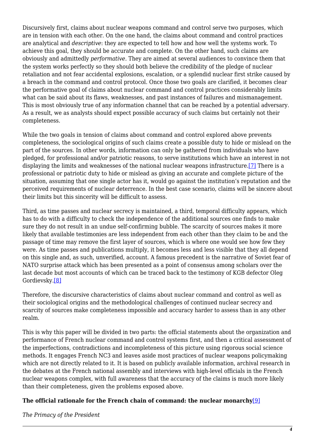Discursively first, claims about nuclear weapons command and control serve two purposes, which are in tension with each other. On the one hand, the claims about command and control practices are analytical and *descriptive*: they are expected to tell how and how well the systems work. To achieve this goal, they should be accurate and complete. On the other hand, such claims are obviously and admittedly *performative*. They are aimed at several audiences to convince them that the system works perfectly so they should both believe the credibility of the pledge of nuclear retaliation and not fear accidental explosions, escalation, or a splendid nuclear first strike caused by a breach in the command and control protocol. Once those two goals are clarified, it becomes clear the performative goal of claims about nuclear command and control practices considerably limits what can be said about its flaws, weaknesses, and past instances of failures and mismanagement. This is most obviously true of any information channel that can be reached by a potential adversary. As a result, we as analysts should expect possible accuracy of such claims but certainly not their completeness.

<span id="page-3-0"></span>While the two goals in tension of claims about command and control explored above prevents completeness, the sociological origins of such claims create a possible duty to hide or mislead on the part of the sources. In other words, information can only be gathered from individuals who have pledged, for professional and/or patriotic reasons, to serve institutions which have an interest in not displaying the limits and weaknesses of the national nuclear weapons infrastructure.[\[7\]](#page-13-1) There is a professional or patriotic duty to hide or mislead as giving an accurate and complete picture of the situation, assuming that one single actor has it, would go against the institution's reputation and the perceived requirements of nuclear deterrence. In the best case scenario, claims will be sincere about their limits but this sincerity will be difficult to assess.

Third, as time passes and nuclear secrecy is maintained, a third, temporal difficulty appears, which has to do with a difficulty to check the independence of the additional sources one finds to make sure they do not result in an undue self-confirming bubble. The scarcity of sources makes it more likely that available testimonies are less independent from each other than they claim to be and the passage of time may remove the first layer of sources, which is where one would see how few they were. As time passes and publications multiply, it becomes less and less visible that they all depend on this single and, as such, unverified, account. A famous precedent is the narrative of Soviet fear of NATO surprise attack which has been presented as a point of consensus among scholars over the last decade but most accounts of which can be traced back to the testimony of KGB defector Oleg Gordievsky.[\[8\]](#page-13-2)

<span id="page-3-1"></span>Therefore, the discursive characteristics of claims about nuclear command and control as well as their sociological origins and the methodological challenges of continued nuclear secrecy and scarcity of sources make completeness impossible and accuracy harder to assess than in any other realm.

This is why this paper will be divided in two parts: the official statements about the organization and performance of French nuclear command and control systems first, and then a critical assessment of the imperfections, contradictions and incompleteness of this picture using rigorous social science methods. It engages French NC3 and leaves aside most practices of nuclear weapons policymaking which are not directly related to it. It is based on publicly available information, archival research in the debates at the French national assembly and interviews with high-level officials in the French nuclear weapons complex, with full awareness that the accuracy of the claims is much more likely than their completeness, given the problems exposed above.

# <span id="page-3-2"></span>**The official rationale for the French chain of command: the nuclear monarchy**[\[9\]](#page-13-3)

*The Primacy of the President*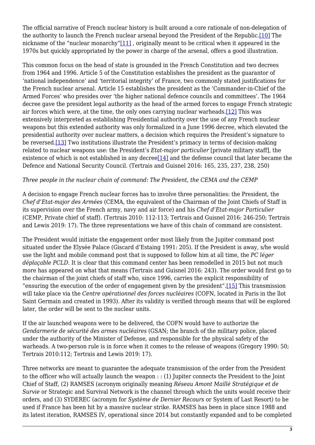<span id="page-4-1"></span><span id="page-4-0"></span>The official narrative of French nuclear history is built around a core rationale of non-delegation of the authority to launch the French nuclear arsenal beyond the President of the Republic[.\[10\]](#page-13-4) The nickname of the "nuclear monarchy"[11], originally meant to be critical when it appeared in the 1970s but quickly appropriated by the power in charge of the arsenal, offers a good illustration.

<span id="page-4-2"></span>This common focus on the head of state is grounded in the French Constitution and two decrees from 1964 and 1996. Article 5 of the Constitution establishes the president as the guarantor of 'national independence' and 'territorial integrity' of France, two commonly stated justifications for the French nuclear arsenal. Article 15 establishes the president as the 'Commander-in-Chief of the Armed Forces' who presides over 'the higher national defence councils and committees'. The 1964 decree gave the president legal authority as the head of the armed forces to engage French strategic air forces which were, at the time, the only ones carrying nuclear warheads[.\[12\]](#page-13-6) This was extensively interpreted as establishing Presidential authority over the use of any French nuclear weapons but this extended authority was only formalized in a June 1996 decree, which elevated the presidential authority over nuclear matters, a decision which requires the President's signature to be reversed[.\[13\]](#page-13-7) Two institutions illustrate the President's primacy in terms of decision-making related to nuclear weapons use: the President's *Etat-major particulier* [private military staff], the existence of which is not established in any decree<sup>[\[14\]](#page-13-8)</sup> and the defense council that later became the Defence and National Security Council. (Tertrais and Guisnel 2016: 165, 235, 237, 238, 250)

#### <span id="page-4-4"></span><span id="page-4-3"></span>*Three people in the nuclear chain of command: The President, the CEMA and the CEMP*

A decision to engage French nuclear forces has to involve three personalities: the President, the *Chef d'Etat-major des Armées* (CEMA, the equivalent of the Chairman of the Joint Chiefs of Staff in its supervision over the French army, navy and air force) and his *Chef d'Etat-major Particulier* (CEMP, Private chief of staff). (Tertrais 2010: 112-113; Tertrais and Guisnel 2016: 246-250; Tertrais and Lewis 2019: 17). The three representations we have of this chain of command are consistent.

The President would initiate the engagement order most likely from the Jupiter command post situated under the Elysée Palace (Giscard d'Estaing 1991: 205). If the President is away, s/he would use the light and mobile command post that is supposed to follow him at all time, the *PC léger déplaçable PCLD*. It is clear that this command center has been remodelled in 2015 but not much more has appeared on what that means (Tertrais and Guisnel 2016: 243). The order would first go to the chairman of the joint chiefs of staff who, since 1996, carries the explicit responsibility of "ensuring the execution of the order of engagement given by the president"[.\[15\]](#page-13-9) This transmission will take place via the *Centre opérationnel des forces nucléaires* (COFN, located in Paris in the îlot Saint Germain and created in 1993). After its validity is verified through means that will be explored later, the order will be sent to the nuclear units.

<span id="page-4-5"></span>If the air launched weapons were to be delivered, the COFN would have to authorize the *Gendarmerie de sécurité des armes nucléaires* (GSAN; the branch of the military police, placed under the authority of the Minister of Defense, and responsible for the physical safety of the warheads. A two-person rule is in force when it comes to the release of weapons (Gregory 1990: 50; Tertrais 2010:112; Tertrais and Lewis 2019: 17).

Three networks are meant to guarantee the adequate transmission of the order from the President to the officer who will actually launch the weapon : : (1) Jupiter connects the President to the Joint Chief of Staff, (2) RAMSES (acronym originally meaning *Réseau Amont Maillé Stratégique et de Survie* or Strategic and Survival Network is the channel through which the units would receive their orders, and (3) SYDEREC (acronym for *Système de Dernier Recours* or System of Last Resort) to be used if France has been hit by a massive nuclear strike. RAMSES has been in place since 1988 and its latest iteration, RAMSES IV, operational since 2014 but constantly expanded and to be completed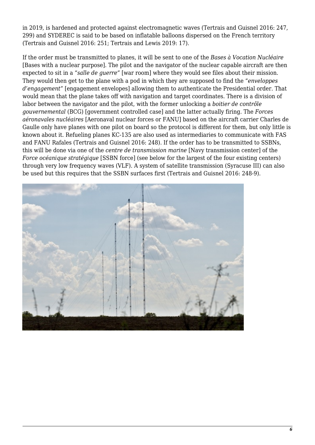in 2019, is hardened and protected against electromagnetic waves (Tertrais and Guisnel 2016: 247, 299) and SYDEREC is said to be based on inflatable balloons dispersed on the French territory (Tertrais and Guisnel 2016: 251; Tertrais and Lewis 2019: 17).

If the order must be transmitted to planes, it will be sent to one of the *Bases à Vocation Nucléaire* [Bases with a nuclear purpose]. The pilot and the navigator of the nuclear capable aircraft are then expected to sit in a "*salle de guerre"* [war room] where they would see files about their mission. They would then get to the plane with a pod in which they are supposed to find the "*enveloppes d'engagement"* [engagement envelopes] allowing them to authenticate the Presidential order. That would mean that the plane takes off with navigation and target coordinates. There is a division of labor between the navigator and the pilot, with the former unlocking a *boitier de contrôle gouvernemental* (BCG) [government controlled case] and the latter actually firing. The *Forces aéronavales nucléaires* [Aeronaval nuclear forces or FANU] based on the aircraft carrier Charles de Gaulle only have planes with one pilot on board so the protocol is different for them, but only little is known about it. Refueling planes KC-135 are also used as intermediaries to communicate with FAS and FANU Rafales (Tertrais and Guisnel 2016: 248). If the order has to be transmitted to SSBNs, this will be done via one of the *centre de transmission marine* [Navy transmission center] of the *Force océanique stratégique* [SSBN force] (see below for the largest of the four existing centers) through very low frequency waves (VLF). A system of satellite transmission (Syracuse III) can also be used but this requires that the SSBN surfaces first (Tertrais and Guisnel 2016: 248-9).

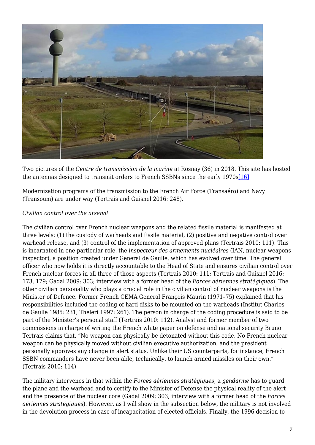

Two pictures of the *Centre de transmission de la marine* at Rosnay (36) in 2018. This site has hosted the antennas designed to transmit orders to French SSBNs since the early 1970s[\[16\]](#page-13-10)

<span id="page-6-0"></span>Modernization programs of the transmission to the French Air Force (Transaéro) and Navy (Transoum) are under way (Tertrais and Guisnel 2016: 248).

# *Civilian control over the arsenal*

The civilian control over French nuclear weapons and the related fissile material is manifested at three levels: (1) the custody of warheads and fissile material, (2) positive and negative control over warhead release, and (3) control of the implementation of approved plans (Tertrais 2010: 111). This is incarnated in one particular role, the *inspecteur des armements nucléaires* (IAN, nuclear weapons inspector), a position created under General de Gaulle, which has evolved over time. The general officer who now holds it is directly accountable to the Head of State and ensures civilian control over French nuclear forces in all three of those aspects (Tertrais 2010: 111; Tertrais and Guisnel 2016: 173, 179; Gadal 2009: 303; interview with a former head of the *Forces aériennes stratégiques*). The other civilian personality who plays a crucial role in the civilian control of nuclear weapons is the Minister of Defence. Former French CEMA General François Maurin (1971–75) explained that his responsibilities included the coding of hard disks to be mounted on the warheads (Institut Charles de Gaulle 1985: 231; Theleri 1997: 261). The person in charge of the coding procedure is said to be part of the Minister's personal staff (Tertrais 2010: 112). Analyst and former member of two commissions in charge of writing the French white paper on defense and national security Bruno Tertrais claims that, "No weapon can physically be detonated without this code. No French nuclear weapon can be physically moved without civilian executive authorization, and the president personally approves any change in alert status. Unlike their US counterparts, for instance, French SSBN commanders have never been able, technically, to launch armed missiles on their own." (Tertrais 2010: 114)

The military intervenes in that within the *Forces aériennes stratégiques*, a *gendarme* has to guard the plane and the warhead and to certify to the Minister of Defense the physical reality of the alert and the presence of the nuclear core (Gadal 2009: 303; interview with a former head of the *Forces aériennes stratégiques*). However, as I will show in the subsection below, the military is not involved in the devolution process in case of incapacitation of elected officials. Finally, the 1996 decision to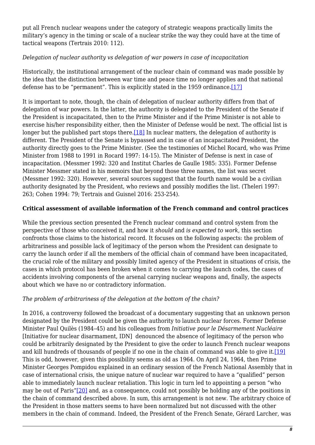put all French nuclear weapons under the category of strategic weapons practically limits the military's agency in the timing or scale of a nuclear strike the way they could have at the time of tactical weapons (Tertrais 2010: 112).

# *Delegation of nuclear authority vs delegation of war powers in case of incapacitation*

Historically, the institutional arrangement of the nuclear chain of command was made possible by the idea that the distinction between war time and peace time no longer applies and that national defense has to be "permanent". This is explicitly stated in the 1959 ordinance[.\[17\]](#page-13-11)

<span id="page-7-1"></span><span id="page-7-0"></span>It is important to note, though, the chain of delegation of nuclear authority differs from that of delegation of war powers. In the latter, the authority is delegated to the President of the Senate if the President is incapacitated, then to the Prime Minister and if the Prime Minister is not able to exercise his/her responsibility either, then the Minister of Defense would be next. The official list is longer but the published part stops there.<sup>[18]</sup> In nuclear matters, the delegation of authority is different. The President of the Senate is bypassed and in case of an incapacitated President, the authority directly goes to the Prime Minister. (See the testimonies of Michel Rocard, who was Prime Minister from 1988 to 1991 in Rocard 1997: 14-15). The Minister of Defense is next in case of incapacitation. (Messmer 1992: 320 and Institut Charles de Gaulle 1985: 335). Former Defense Minister Messmer stated in his memoirs that beyond those three names, the list was secret (Messmer 1992: 320). However, several sources suggest that the fourth name would be a civilian authority designated by the President, who reviews and possibly modifies the list. (Theleri 1997: 263; Cohen 1994: 79; Tertrais and Guisnel 2016: 253-254).

# **Critical assessment of available information of the French command and control practices**

While the previous section presented the French nuclear command and control system from the perspective of those who conceived it, and how it *should* and *is expected to work*, this section confronts those claims to the historical record. It focuses on the following aspects: the problem of arbitrariness and possible lack of legitimacy of the person whom the President can designate to carry the launch order if all the members of the official chain of command have been incapacitated, the crucial role of the military and possibly limited agency of the President in situations of crisis, the cases in which protocol has been broken when it comes to carrying the launch codes, the cases of accidents involving components of the arsenal carrying nuclear weapons and, finally, the aspects about which we have no or contradictory information.

# *The problem of arbitrariness of the delegation at the bottom of the chain?*

<span id="page-7-4"></span><span id="page-7-3"></span><span id="page-7-2"></span>In 2016, a controversy followed the broadcast of a documentary suggesting that an unknown person designated by the President could be given the authority to launch nuclear forces. Former Defense Minister Paul Quilès (1984–45) and his colleagues from *Initiative pour le Désarmement Nucléaire* [Initiative for nuclear disarmament, IDN] denounced the absence of legitimacy of the person who could be arbitrarily designated by the President to give the order to launch French nuclear weapons and kill hundreds of thousands of people if no one in the chain of command was able to give it.[\[19\]](#page-13-13) This is odd, however, given this possibility seems as old as 1964. On April 24, 1964, then Prime Minister Georges Pompidou explained in an ordinary session of the French National Assembly that in case of international crisis, the unique nature of nuclear war required to have a "qualified" person able to immediately launch nuclear retaliation. This logic in turn led to appointing a person "who may be out of Paris"[\[20\]](#page-14-0) and, as a consequence, could not possibly be holding any of the positions in the chain of command described above. In sum, this arrangement is not new. The arbitrary choice of the President in those matters seems to have been normalized but not discussed with the other members in the chain of command. Indeed, the President of the French Senate, Gérard Larcher, was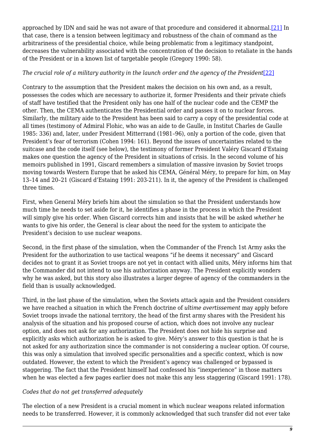approached by IDN and said he was not aware of that procedure and considered it abnormal.[\[21\]](#page-14-1) In that case, there is a tension between legitimacy and robustness of the chain of command as the arbitrariness of the presidential choice, while being problematic from a legitimacy standpoint, decreases the vulnerability associated with the concentration of the decision to retaliate in the hands of the President or in a known list of targetable people (Gregory 1990: 58).

# <span id="page-8-0"></span>*The crucial role of a military authority in the launch order and the agency of the President*[\[22\]](#page-14-2)

Contrary to the assumption that the President makes the decision on his own and, as a result, possesses the codes which are necessary to authorize it, former Presidents and their private chiefs of staff have testified that the President only has one half of the nuclear code and the CEMP the other. Then, the CEMA authenticates the Presidential order and passes it on to nuclear forces. Similarly, the military aide to the President has been said to carry a copy of the presidential code at all times (testimony of Admiral Flohic, who was an aide to de Gaulle, in Institut Charles de Gaulle 1985: 336) and, later, under President Mitterrand (1981–96), only a portion of the code, given that President's fear of terrorism (Cohen 1994: 161). Beyond the issues of uncertainties related to the suitcase and the code itself (see below), the testimony of former President Valéry Giscard d'Estaing makes one question the agency of the President in situations of crisis. In the second volume of his memoirs published in 1991, Giscard remembers a simulation of massive invasion by Soviet troops moving towards Western Europe that he asked his CEMA, Général Méry, to prepare for him, on May 13–14 and 20–21 (Giscard d'Estaing 1991: 203-211). In it, the agency of the President is challenged three times.

First, when General Méry briefs him about the simulation so that the President understands how much time he needs to set aside for it, he identifies a phase in the process in which the President will simply give his order. When Giscard corrects him and insists that he will be asked *whether* he wants to give his order, the General is clear about the need for the system to anticipate the President's decision to use nuclear weapons.

Second, in the first phase of the simulation, when the Commander of the French 1st Army asks the President for the authorization to use tactical weapons "if he deems it necessary" and Giscard decides not to grant it as Soviet troops are not yet in contact with allied units, Méry informs him that the Commander did not intend to use his authorization anyway. The President explicitly wonders why he was asked, but this story also illustrates a larger degree of agency of the commanders in the field than is usually acknowledged.

Third, in the last phase of the simulation, when the Soviets attack again and the President considers we have reached a situation in which the French doctrine of *ultime avertissement* may apply before Soviet troops invade the national territory, the head of the first army shares with the President his analysis of the situation and his proposed course of action, which does not involve any nuclear option, and does not ask for any authorization. The President does not hide his surprise and explicitly asks which authorization he is asked to give. Méry's answer to this question is that he is not asked for any authorization since the commander is not considering a nuclear option. Of course, this was only a simulation that involved specific personalities and a specific context, which is now outdated. However, the extent to which the President's agency was challenged or bypassed is staggering. The fact that the President himself had confessed his "inexperience" in those matters when he was elected a few pages earlier does not make this any less staggering (Giscard 1991: 178).

# *Codes that do not get transferred adequately*

The election of a new President is a crucial moment in which nuclear weapons related information needs to be transferred. However, it is commonly acknowledged that such transfer did not ever take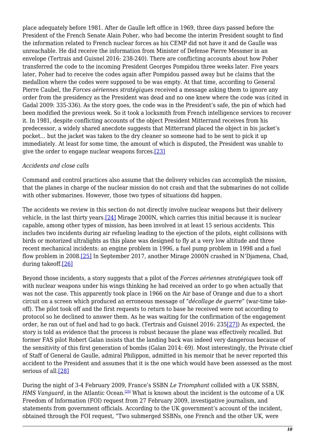place adequately before 1981. After de Gaulle left office in 1969, three days passed before the President of the French Senate Alain Poher, who had become the interim President sought to find the information related to French nuclear forces as his CEMP did not have it and de Gaulle was unreachable. He did receive the information from Minister of Defense Pierre Messmer in an envelope (Tertrais and Guisnel 2016: 238-240). There are conflicting accounts about how Poher transferred the code to the incoming President Georges Pompidou three weeks later. Five years later, Poher had to receive the codes again after Pompidou passed away but he claims that the medallion where the codes were supposed to be was empty. At that time, according to General Pierre Caubel, the *Forces aériennes stratégiques* received a message asking them to ignore any order from the presidency as the President was dead and no one knew where the code was (cited in Gadal 2009: 335-336). As the story goes, the code was in the President's safe, the pin of which had been modified the previous week. So it took a locksmith from French intelligence services to recover it. In 1981, despite conflicting accounts of the object President Mitterrand receives from his predecessor, a widely shared anecdote suggests that Mitterrand placed the object in his jacket's pocket… but the jacket was taken to the dry cleaner so someone had to be sent to pick it up immediately. At least for some time, the amount of which is disputed, the President was unable to give the order to engage nuclear weapons forces.[\[23\]](#page-14-3)

# <span id="page-9-0"></span>*Accidents and close calls*

Command and control practices also assume that the delivery vehicles can accomplish the mission, that the planes in charge of the nuclear mission do not crash and that the submarines do not collide with other submarines. However, those two types of situations did happen.

<span id="page-9-1"></span>The accidents we review in this section do not directly involve nuclear weapons but their delivery vehicle, in the last thirty years.[\[24\]](#page-14-4) Mirage 2000N, which carries this initial because it is nuclear capable, among other types of mission, has been involved in at least 15 serious accidents. This includes two incidents during air refueling leading to the ejection of the pilots, eight collisions with birds or motorized ultralights as this plane was designed to fly at a very low altitude and three recent mechanical incidents: an engine problem in 1996, a fuel pump problem in 1998 and a fuel flow problem in 2008.[\[25\]](#page-14-5) In September 2017, another Mirage 2000N crashed in N'Djamena, Chad, during takeoff[.\[26\]](#page-14-6)

<span id="page-9-4"></span><span id="page-9-3"></span><span id="page-9-2"></span>Beyond those incidents, a story suggests that a pilot of the *Forces aériennes stratégiques* took off with nuclear weapons under his wings thinking he had received an order to go when actually that was not the case. This apparently took place in 1966 on the Air base of Orange and due to a short circuit on a screen which produced an erroneous message of "*décollage de guerre*" (war-time takeoff). The pilot took off and the first requests to return to base he received were not according to protocol so he declined to answer them. As he was waiting for the confirmation of the engagement order, he ran out of fuel and had to go back. (Tertrais and Guisnel 2016: 235[\[27\]](#page-14-7)) As expected, the story is told as evidence that the process is robust because the plane was effectively recalled. But former FAS pilot Robert Galan insists that the landing back was indeed very dangerous because of the sensitivity of this first generation of bombs (Galan 2014: 69). Most interestingly, the Private chief of Staff of General de Gaulle, admiral Philippon, admitted in his memoir that he never reported this accident to the President and assumes that it is the one which would have been assessed as the most serious of all[.\[28\]](#page-14-8)

<span id="page-9-6"></span><span id="page-9-5"></span>During the night of 3-4 February 2009, France's SSBN *Le Triomphant* collided with a UK SSBN, *HMS Vanguard,* in the Atlantic Ocean.<sup>[\[29\]](#page-14-9)</sup> What is known about the incident is the outcome of a UK Freedom of Information (FOI) request from 27 February 2009, investigative journalism, and statements from government officials. According to the UK government's account of the incident, obtained through the FOI request, "Two submerged SSBNs, one French and the other UK, were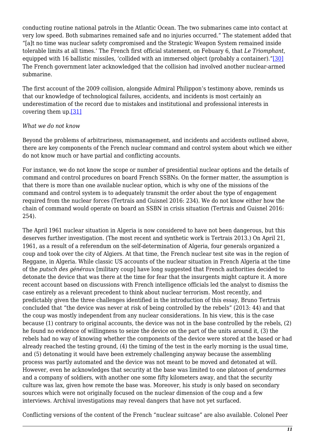conducting routine national patrols in the Atlantic Ocean. The two submarines came into contact at very low speed. Both submarines remained safe and no injuries occurred." The statement added that "[a]t no time was nuclear safety compromised and the Strategic Weapon System remained inside tolerable limits at all times.' The French first official statement, on Febuary 6, that *Le Triomphant*, equipped with 16 ballistic missiles, 'collided with an immersed object (probably a container)."[\[30\]](#page-14-10) The French government later acknowledged that the collision had involved another nuclear-armed submarine.

<span id="page-10-0"></span>The first account of the 2009 collision, alongside Admiral Philippon's testimony above, reminds us that our knowledge of technological failures, accidents, and incidents is most certainly an underestimation of the record due to mistakes and institutional and professional interests in covering them up.[\[31\]](#page-14-11)

#### <span id="page-10-1"></span>*What we do not know*

Beyond the problems of arbitrariness, mismanagement, and incidents and accidents outlined above, there are key components of the French nuclear command and control system about which we either do not know much or have partial and conflicting accounts.

For instance, we do not know the scope or number of presidential nuclear options and the details of command and control procedures on board French SSBNs. On the former matter, the assumption is that there is more than one available nuclear option, which is why one of the missions of the command and control system is to adequately transmit the order about the type of engagement required from the nuclear forces (Tertrais and Guisnel 2016: 234). We do not know either how the chain of command would operate on board an SSBN in crisis situation (Tertrais and Guisnel 2016: 254).

The April 1961 nuclear situation in Algeria is now considered to have not been dangerous, but this deserves further investigation. (The most recent and synthetic work is Tertrais 2013.) On April 21, 1961, as a result of a referendum on the self-determination of Algeria, four generals organized a coup and took over the city of Algiers. At that time, the French nuclear test site was in the region of Reggane, in Algeria. While classic US accounts of the nuclear situation in French Algeria at the time of the *putsch des généraux* [military coup] have long suggested that French authorities decided to detonate the device that was there at the time for fear that the insurgents might capture it. A more recent account based on discussions with French intelligence officials led the analyst to dismiss the case entirely as a relevant precedent to think about nuclear terrorism. Most recently, and predictably given the three challenges identified in the introduction of this essay, Bruno Tertrais concluded that "the device was never at risk of being controlled by the rebels" (2013: 44) and that the coup was mostly independent from any nuclear considerations. In his view, this is the case because (1) contrary to original accounts, the device was not in the base controlled by the rebels, (2) he found no evidence of willingness to seize the device on the part of the units around it, (3) the rebels had no way of knowing whether the components of the device were stored at the based or had already reached the testing ground, (4) the timing of the test in the early morning is the usual time, and (5) detonating it would have been extremely challenging anyway because the assembling process was partly automated and the device was not meant to be moved and detonated at will. However, even he acknowledges that security at the base was limited to one platoon of *gendarmes* and a company of soldiers, with another one some fifty kilometers away, and that the security culture was lax, given how remote the base was. Moreover, his study is only based on secondary sources which were not originally focused on the nuclear dimension of the coup and a few interviews. Archival investigations may reveal dangers that have not yet surfaced.

Conflicting versions of the content of the French "nuclear suitcase" are also available. Colonel Peer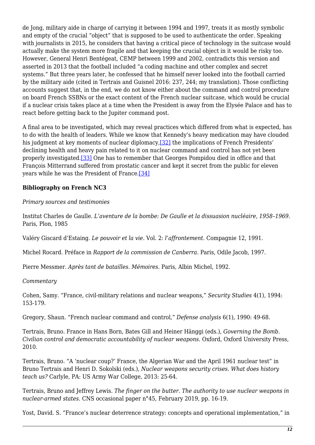de Jong, military aide in charge of carrying it between 1994 and 1997, treats it as mostly symbolic and empty of the crucial "object" that is supposed to be used to authenticate the order. Speaking with journalists in 2015, he considers that having a critical piece of technology in the suitcase would actually make the system more fragile and that keeping the crucial object in it would be risky too. However, General Henri Bentégeat, CEMP between 1999 and 2002, contradicts this version and asserted in 2013 that the football included "a coding machine and other complex and secret systems." But three years later, he confessed that he himself never looked into the football carried by the military aide (cited in Tertrais and Guisnel 2016: 237, 244; my translation). Those conflicting accounts suggest that, in the end, we do not know either about the command and control procedure on board French SSBNs or the exact content of the French nuclear suitcase, which would be crucial if a nuclear crisis takes place at a time when the President is away from the Elysée Palace and has to react before getting back to the Jupiter command post.

<span id="page-11-0"></span>A final area to be investigated, which may reveal practices which differed from what is expected, has to do with the health of leaders. While we know that Kennedy's heavy medication may have clouded his judgment at key moments of nuclear diplomacy, [32] the implications of French Presidents' declining health and heavy pain related to it on nuclear command and control has not yet been properly investigated[.\[33\]](#page-15-0) One has to remember that Georges Pompidou died in office and that François Mitterrand suffered from prostatic cancer and kept it secret from the public for eleven years while he was the President of France.[\[34\]](#page-15-1)

# <span id="page-11-2"></span><span id="page-11-1"></span>**Bibliography on French NC3**

#### *Primary sources and testimonies*

Institut Charles de Gaulle. *L'aventure de la bombe: De Gaulle et la dissuasion nucléaire, 1958–1969.* Paris, Plon, 1985

Valéry Giscard d'Estaing. *Le pouvoir et la vie*. Vol. 2: *l'affrontement*. Compagnie 12, 1991.

Michel Rocard. Préface in *Rapport de la commission de Canberra*. Paris, Odile Jacob, 1997.

Pierre Messmer. *Après tant de batailles. Mémoires*. Paris, Albin Michel, 1992.

#### *Commentary*

Cohen, Samy. "France, civil-military relations and nuclear weapons," *Security Studies* 4(1), 1994: 153-179.

Gregory, Shaun. "French nuclear command and control," *Defense analysis* 6(1), 1990: 49-68.

Tertrais, Bruno. France in Hans Born, Bates Gill and Heiner Hänggi (eds.), *Governing the Bomb*. *Civilian control and democratic accountability of nuclear weapons*. Oxford, Oxford University Press, 2010.

Tertrais, Bruno. "A 'nuclear coup?' France, the Algerian War and the April 1961 nuclear test" in Bruno Tertrais and Henri D. Sokolski (eds.), *Nuclear weapons security crises. What does history teach us?* Carlyle, PA: US Army War College, 2013: 25-64.

Tertrais, Bruno and Jeffrey Lewis. *The finger on the butter. The authority to use nuclear weapons in nuclear-armed states.* CNS occasional paper n°45, February 2019, pp. 16-19.

Yost, David. S. "France's nuclear deterrence strategy: concepts and operational implementation," in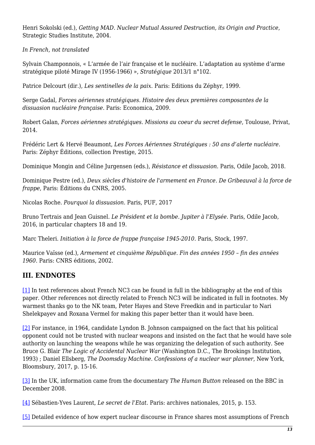Henri Sokolski (ed.), *Getting MAD*. *Nuclear Mutual Assured Destruction, its Origin and Practice*, Strategic Studies Institute, 2004.

*In French, not translated*

Sylvain Champonnois, « L'armée de l'air française et le nucléaire. L'adaptation au système d'arme stratégique piloté Mirage IV (1956-1966) », *Stratégique* 2013/1 n°102.

Patrice Delcourt (dir.), *Les sentinelles de la paix*. Paris: Editions du Zéphyr, 1999.

Serge Gadal, *Forces aériennes stratégiques. Histoire des deux premières composantes de la dissuasion nucléaire française*. Paris: Economica, 2009.

Robert Galan, *Forces aériennes stratégiques. Missions au coeur du secret defense*, Toulouse, Privat, 2014.

Frédéric Lert & Hervé Beaumont, *Les Forces Aériennes Stratégiques : 50 ans d'alerte nucléaire*. Paris: Zéphyr Éditions, collection Prestige, 2015.

Dominique Mongin and Céline Jurgensen (eds.), *Résistance et dissuasion.* Paris, Odile Jacob, 2018.

Dominique Pestre (ed.), *Deux siècles d'histoire de l'armement en France. De Gribeauval à la force de frappe*, Paris: Éditions du CNRS, 2005.

Nicolas Roche. *Pourquoi la dissuasion*. Paris, PUF, 2017

Bruno Tertrais and Jean Guisnel. *Le Président et la bombe. Jupiter à l'Elysée*. Paris, Odile Jacob*,* 2016, in particular chapters 18 and 19.

Marc Theleri. *Initiation à la force de frappe française 1945-2010*. Paris, Stock, 1997.

Maurice Vaïsse (ed.), *Armement et cinquième République. Fin des années 1950 – fin des années 1960*. Paris: CNRS éditions, 2002.

# **III. ENDNOTES**

<span id="page-12-0"></span>[\[1\]](#page-1-0) In text references about French NC3 can be found in full in the bibliography at the end of this paper. Other references not directly related to French NC3 will be indicated in full in footnotes. My warmest thanks go to the NK team, Peter Hayes and Steve Freedkin and in particular to Nari Shelekpayev and Roxana Vermel for making this paper better than it would have been.

<span id="page-12-1"></span>[\[2\]](#page-2-0) For instance, in 1964, candidate Lyndon B. Johnson campaigned on the fact that his political opponent could not be trusted with nuclear weapons and insisted on the fact that he would have sole authority on launching the weapons while he was organizing the delegation of such authority. See Bruce G. Blair *The Logic of Accidental Nuclear War* (Washington D.C., The Brookings Institution, 1993) ; Daniel Ellsberg, *The Doomsday Machine. Confessions of a nuclear war planner*, New York, Bloomsbury, 2017, p. 15-16.

<span id="page-12-2"></span>[\[3\]](#page-2-1) In the UK, information came from the documentary *The Human Button* released on the BBC in December 2008.

<span id="page-12-3"></span>[\[4\]](#page-2-2) Sébastien-Yves Laurent, *Le secret de l'Etat.* Paris: archives nationales, 2015, p. 153.

<span id="page-12-4"></span>[\[5\]](#page-2-3) Detailed evidence of how expert nuclear discourse in France shares most assumptions of French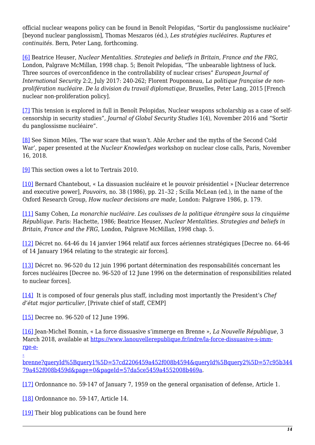official nuclear weapons policy can be found in Benoît Pelopidas, "Sortir du panglossisme nucléaire" [beyond nuclear panglossism], Thomas Meszaros (éd.), *Les stratégies nucléaires. Ruptures et continuités.* Bern, Peter Lang, forthcoming.

<span id="page-13-0"></span>[\[6\]](#page-2-4) Beatrice Heuser, *Nuclear Mentalities*. *Strategies and beliefs in Britain, France and the FRG*, London, Palgrave McMillan, 1998 chap. 5; Benoît Pelopidas, "The unbearable lightness of luck. Three sources of overconfidence in the controllability of nuclear crises" *European Journal of International Security* 2:2, July 2017: 240-262; Florent Pouponneau, L*a politique française de nonprolifération nucléaire. De la division du travail diplomatique,* Bruxelles, Peter Lang, 2015 [French nuclear non-proliferation policy].

<span id="page-13-1"></span>[\[7\]](#page-3-0) This tension is explored in full in Benoît Pelopidas, Nuclear weapons scholarship as a case of selfcensorship in security studies", *Journal of Global Security Studies* 1(4), November 2016 and "Sortir du panglossisme nucléaire".

<span id="page-13-2"></span>[\[8\]](#page-3-1) See Simon Miles, 'The war scare that wasn't. Able Archer and the myths of the Second Cold War', paper presented at the *Nuclear Knowledges* workshop on nuclear close calls, Paris, November 16, 2018.

<span id="page-13-3"></span>[\[9\]](#page-3-2) This section owes a lot to Tertrais 2010.

<span id="page-13-4"></span>[\[10\]](#page-4-0) Bernard Chantebout, « La dissuasion nucléaire et le pouvoir présidentiel » [Nuclear deterrence and executive power], *Pouvoirs*, no. 38 (1986), pp. 21–32 ; Scilla McLean (ed.), in the name of the Oxford Research Group, *How nuclear decisions are made*, London: Palgrave 1986, p. 179.

<span id="page-13-5"></span>[\[11\]](#page-4-1) Samy Cohen, *La monarchie nucléaire. Les coulisses de la politique étrangère sous la cinquième République.* Paris: Hachette, 1986; Beatrice Heuser, *Nuclear Mentalities*. *Strategies and beliefs in Britain, France and the FRG*, London, Palgrave McMillan, 1998 chap. 5.

<span id="page-13-6"></span>[\[12\]](#page-4-2) Décret no. 64-46 du 14 janvier 1964 relatif aux forces aériennes stratégiques [Decree no. 64-46 of 14 January 1964 relating to the strategic air forces].

<span id="page-13-7"></span>[\[13\]](#page-4-3) Décret no. 96-520 du 12 juin 1996 portant détermination des responsabilités concernant les forces nucléaires [Decree no. 96-520 of 12 June 1996 on the determination of responsibilities related to nuclear forces].

<span id="page-13-8"></span>[\[14\]](#page-4-4) It is composed of four generals plus staff, including most importantly the President's *Chef d'état major particulier*, [Private chief of staff, CEMP]

<span id="page-13-9"></span>[\[15\]](#page-4-5) Decree no. 96-520 of 12 June 1996.

[-](https://www.lanouvellerepublique.fr/indre/la-force-dissuasive-s-immerge-en-brenne?queryId[query1]=57cd2206459a452f008b4594&queryId[query2]=57c95b34479a452f008b459d&page=0&pageId=57da5ce5459a4552008b469a)

<span id="page-13-10"></span>[\[16\]](#page-6-0) Jean-Michel Bonnin, « La force dissuasive s'immerge en Brenne », *La Nouvelle République*, 3 March 2018, available at [https://www.lanouvellerepublique.fr/indre/la-force-dissuasive-s-imm](https://www.lanouvellerepublique.fr/indre/la-force-dissuasive-s-immerge-en-brenne?queryId[query1]=57cd2206459a452f008b4594&queryId[query2]=57c95b34479a452f008b459d&page=0&pageId=57da5ce5459a4552008b469a)[rge-e-](https://www.lanouvellerepublique.fr/indre/la-force-dissuasive-s-immerge-en-brenne?queryId[query1]=57cd2206459a452f008b4594&queryId[query2]=57c95b34479a452f008b459d&page=0&pageId=57da5ce5459a4552008b469a)

[brenne?queryId%5Bquery1%5D=57cd2206459a452f008b4594&queryId%5Bquery2%5D=57c95b344](https://www.lanouvellerepublique.fr/indre/la-force-dissuasive-s-immerge-en-brenne?queryId[query1]=57cd2206459a452f008b4594&queryId[query2]=57c95b34479a452f008b459d&page=0&pageId=57da5ce5459a4552008b469a) [79a452f008b459d&page=0&pageId=57da5ce5459a4552008b469a](https://www.lanouvellerepublique.fr/indre/la-force-dissuasive-s-immerge-en-brenne?queryId[query1]=57cd2206459a452f008b4594&queryId[query2]=57c95b34479a452f008b459d&page=0&pageId=57da5ce5459a4552008b469a).

<span id="page-13-11"></span>[\[17\]](#page-7-0) Ordonnance no. 59-147 of January 7, 1959 on the general organisation of defense, Article 1.

<span id="page-13-12"></span>[\[18\]](#page-7-1) Ordonnance no. 59-147, Article 14.

<span id="page-13-13"></span>[\[19\]](#page-7-2) Their blog publications can be found here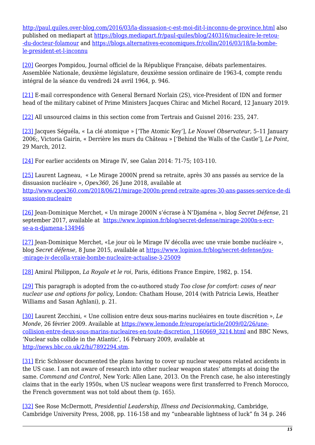<http://paul.quiles.over-blog.com/2016/03/la-dissuasion-c-est-moi-dit-l-inconnu-de-province.html>also published on mediapart at [https://blogs.mediapart.fr/paul-quiles/blog/240316/nucleaire-le-retou-](https://blogs.mediapart.fr/paul-quiles/blog/240316/nucleaire-le-retour-du-docteur-folamour) [-du-docteur-folamour](https://blogs.mediapart.fr/paul-quiles/blog/240316/nucleaire-le-retour-du-docteur-folamour) and [https://blogs.alternatives-economiques.fr/collin/2016/03/18/la-bombe](https://blogs.alternatives-economiques.fr/collin/2016/03/18/la-bombe-le-president-et-l-inconnu)[le-president-et-l-inconnu](https://blogs.alternatives-economiques.fr/collin/2016/03/18/la-bombe-le-president-et-l-inconnu)

<span id="page-14-0"></span>[\[20\]](#page-7-3) Georges Pompidou, Journal officiel de la République Française, débats parlementaires. Assemblée Nationale, deuxième législature, deuxième session ordinaire de 1963-4, compte rendu intégral de la séance du vendredi 24 avril 1964, p. 946.

<span id="page-14-1"></span>[\[21\]](#page-7-4) E-mail correspondence with General Bernard Norlain (2S), vice-President of IDN and former head of the military cabinet of Prime Ministers Jacques Chirac and Michel Rocard, 12 January 2019.

<span id="page-14-2"></span>[\[22\]](#page-8-0) All unsourced claims in this section come from Tertrais and Guisnel 2016: 235, 247.

<span id="page-14-3"></span>[\[23\]](#page-9-0) Jacques Séguéla, « La clé atomique » ['The Atomic Key'], *Le Nouvel Observateur*, 5–11 January 2006;, Victoria Gairin, « Derrière les murs du Château » ['Behind the Walls of the Castle'], *Le Point*, 29 March, 2012.

<span id="page-14-4"></span>[\[24\]](#page-9-1) For earlier accidents on Mirage IV, see Galan 2014: 71-75; 103-110.

<span id="page-14-5"></span>[\[25\]](#page-9-2) Laurent Lagneau, « Le Mirage 2000N prend sa retraite, après 30 ans passés au service de la dissuasion nucléaire », *Opex360*, 26 June 2018, available at [http://www.opex360.com/2018/06/21/mirage-2000n-prend-retraite-apres-30-ans-passes-service-de-di](http://www.opex360.com/2018/06/21/mirage-2000n-prend-retraite-apres-30-ans-passes-service-de-dissuasion-nucleaire) [ssuasion-nucleaire](http://www.opex360.com/2018/06/21/mirage-2000n-prend-retraite-apres-30-ans-passes-service-de-dissuasion-nucleaire)

<span id="page-14-6"></span>[\[26\]](#page-9-3) Jean-Dominique Merchet, « Un mirage 2000N s'écrase à N'Djaména », blog *Secret Défense*, 21 september 2017, available at [https://www.lopinion.fr/blog/secret-defense/mirage-2000n-s-ecr](https://www.lopinion.fr/blog/secret-defense/mirage-2000n-s-ecrase-a-n-djamena-134946)[se-a-n-djamena-134946](https://www.lopinion.fr/blog/secret-defense/mirage-2000n-s-ecrase-a-n-djamena-134946)

<span id="page-14-7"></span>[\[27\]](#page-9-4) Jean-Dominique Merchet, «Le jour où le Mirage IV décolla avec une vraie bombe nucléaire », blog *Secret défense*, 8 June 2015, available at [https://www.lopinion.fr/blog/secret-defense/jou-](https://www.lopinion.fr/blog/secret-defense/jour-mirage-iv-decolla-vraie-bombe-nucleaire-actualise-3-25009) [-mirage-iv-decolla-vraie-bombe-nucleaire-actualise-3-25009](https://www.lopinion.fr/blog/secret-defense/jour-mirage-iv-decolla-vraie-bombe-nucleaire-actualise-3-25009)

<span id="page-14-8"></span>[\[28\]](#page-9-5) Amiral Philippon, *La Royale et le roi*, Paris, éditions France Empire, 1982, p. 154.

<span id="page-14-9"></span>[\[29\]](#page-9-6) This paragraph is adopted from the co-authored study *Too close for comfort: cases of near nuclear use and options for policy*, London: Chatham House, 2014 (with Patricia Lewis, Heather Williams and Sasan Aghlani), p. 21.

<span id="page-14-10"></span>[\[30\]](#page-10-0) Laurent Zecchini, « Une collision entre deux sous-marins nucléaires en toute discrétion », *Le Monde*, 26 février 2009. Available at [https://www.lemonde.fr/europe/article/2009/02/26/une](https://www.lemonde.fr/europe/article/2009/02/26/une-collision-entre-deux-sous-marins-nucleaires-en-toute-discretion_1160669_3214.html)[collision-entre-deux-sous-marins-nucleaires-en-toute-discretion\\_1160669\\_3214.html](https://www.lemonde.fr/europe/article/2009/02/26/une-collision-entre-deux-sous-marins-nucleaires-en-toute-discretion_1160669_3214.html) and BBC News, 'Nuclear subs collide in the Atlantic', 16 February 2009, available at [http://news.bbc.co.uk/2/hi/7892294.stm.](http://news.bbc.co.uk/2/hi/7892294.stm)

<span id="page-14-11"></span>[\[31\]](#page-10-1) Eric Schlosser documented the plans having to cover up nuclear weapons related accidents in the US case. I am not aware of research into other nuclear weapon states' attempts at doing the same. *Command and Control*, New York: Allen Lane, 2013. On the French case, he also interestingly claims that in the early 1950s, when US nuclear weapons were first transferred to French Morocco, the French government was not told about them (p. 165).

<span id="page-14-12"></span>[\[32\]](#page-11-0) See Rose McDermott, *Presidential Leadership, Illness and Decisionmaking*, Cambridge, Cambridge University Press, 2008, pp. 116-158 and my "unbearable lightness of luck" fn 34 p. 246